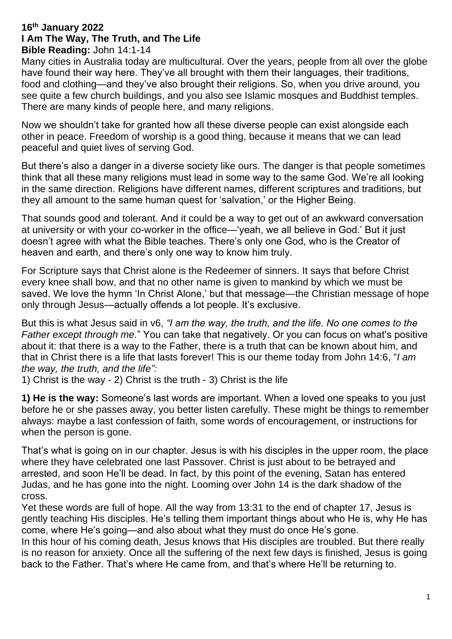## **16th January 2022 I Am The Way, The Truth, and The Life Bible Reading:** John 14:1-14

Many cities in Australia today are multicultural. Over the years, people from all over the globe have found their way here. They've all brought with them their languages, their traditions, food and clothing—and they've also brought their religions. So, when you drive around, you see quite a few church buildings, and you also see Islamic mosques and Buddhist temples. There are many kinds of people here, and many religions.

Now we shouldn't take for granted how all these diverse people can exist alongside each other in peace. Freedom of worship is a good thing, because it means that we can lead peaceful and quiet lives of serving God.

But there's also a danger in a diverse society like ours. The danger is that people sometimes think that all these many religions must lead in some way to the same God. We're all looking in the same direction. Religions have different names, different scriptures and traditions, but they all amount to the same human quest for 'salvation,' or the Higher Being.

That sounds good and tolerant. And it could be a way to get out of an awkward conversation at university or with your co-worker in the office—'yeah, we all believe in God.' But it just doesn't agree with what the Bible teaches. There's only one God, who is the Creator of heaven and earth, and there's only one way to know him truly.

For Scripture says that Christ alone is the Redeemer of sinners. It says that before Christ every knee shall bow, and that no other name is given to mankind by which we must be saved. We love the hymn 'In Christ Alone,' but that message—the Christian message of hope only through Jesus—actually offends a lot people. It's exclusive.

But this is what Jesus said in v6, *"I am the way, the truth, and the life. No one comes to the Father except through me.*" You can take that negatively. Or you can focus on what's positive about it: that there is a way to the Father, there is a truth that can be known about him, and that in Christ there is a life that lasts forever! This is our theme today from John 14:6, "*I am the way, the truth, and the life":*

1) Christ is the way - 2) Christ is the truth - 3) Christ is the life

**1) He is the way:** Someone's last words are important. When a loved one speaks to you just before he or she passes away, you better listen carefully. These might be things to remember always: maybe a last confession of faith, some words of encouragement, or instructions for when the person is gone.

That's what is going on in our chapter. Jesus is with his disciples in the upper room, the place where they have celebrated one last Passover. Christ is just about to be betrayed and arrested, and soon He'll be dead. In fact, by this point of the evening, Satan has entered Judas, and he has gone into the night. Looming over John 14 is the dark shadow of the cross.

Yet these words are full of hope. All the way from 13:31 to the end of chapter 17, Jesus is gently teaching His disciples. He's telling them important things about who He is, why He has come, where He's going—and also about what they must do once He's gone.

In this hour of his coming death, Jesus knows that His disciples are troubled. But there really is no reason for anxiety. Once all the suffering of the next few days is finished, Jesus is going back to the Father. That's where He came from, and that's where He'll be returning to.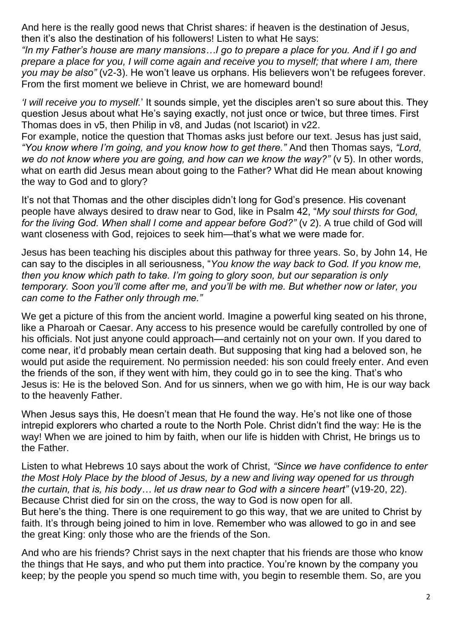And here is the really good news that Christ shares: if heaven is the destination of Jesus, then it's also the destination of his followers! Listen to what He says:

*"In my Father's house are many mansions…I go to prepare a place for you. And if I go and prepare a place for you, I will come again and receive you to myself; that where I am, there you may be also"* (v2-3). He won't leave us orphans. His believers won't be refugees forever. From the first moment we believe in Christ, we are homeward bound!

*'I will receive you to myself.*' It sounds simple, yet the disciples aren't so sure about this. They question Jesus about what He's saying exactly, not just once or twice, but three times. First Thomas does in v5, then Philip in v8, and Judas (not Iscariot) in v22.

For example, notice the question that Thomas asks just before our text. Jesus has just said, *"You know where I'm going, and you know how to get there."* And then Thomas says, *"Lord, we do not know where you are going, and how can we know the way?"* (v 5). In other words, what on earth did Jesus mean about going to the Father? What did He mean about knowing the way to God and to glory?

It's not that Thomas and the other disciples didn't long for God's presence. His covenant people have always desired to draw near to God, like in Psalm 42, "*My soul thirsts for God,*  for the living God. When shall I come and appear before God?" (v 2). A true child of God will want closeness with God, rejoices to seek him—that's what we were made for.

Jesus has been teaching his disciples about this pathway for three years. So, by John 14, He can say to the disciples in all seriousness, "*You know the way back to God. If you know me, then you know which path to take. I'm going to glory soon, but our separation is only temporary. Soon you'll come after me, and you'll be with me. But whether now or later, you can come to the Father only through me."* 

We get a picture of this from the ancient world. Imagine a powerful king seated on his throne, like a Pharoah or Caesar. Any access to his presence would be carefully controlled by one of his officials. Not just anyone could approach—and certainly not on your own. If you dared to come near, it'd probably mean certain death. But supposing that king had a beloved son, he would put aside the requirement. No permission needed: his son could freely enter. And even the friends of the son, if they went with him, they could go in to see the king. That's who Jesus is: He is the beloved Son. And for us sinners, when we go with him, He is our way back to the heavenly Father.

When Jesus says this, He doesn't mean that He found the way. He's not like one of those intrepid explorers who charted a route to the North Pole. Christ didn't find the way: He is the way! When we are joined to him by faith, when our life is hidden with Christ, He brings us to the Father.

Listen to what Hebrews 10 says about the work of Christ, *"Since we have confidence to enter the Most Holy Place by the blood of Jesus, by a new and living way opened for us through the curtain, that is, his body… let us draw near to God with a sincere heart"* (v19-20, 22). Because Christ died for sin on the cross, the way to God is now open for all. But here's the thing. There is one requirement to go this way, that we are united to Christ by faith. It's through being joined to him in love. Remember who was allowed to go in and see the great King: only those who are the friends of the Son.

And who are his friends? Christ says in the next chapter that his friends are those who know the things that He says, and who put them into practice. You're known by the company you keep; by the people you spend so much time with, you begin to resemble them. So, are you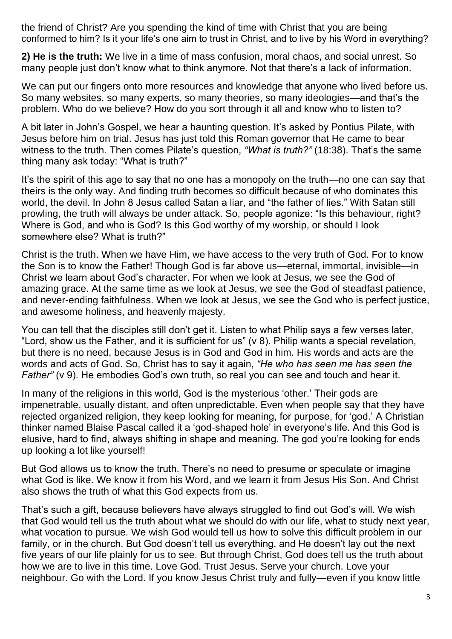the friend of Christ? Are you spending the kind of time with Christ that you are being conformed to him? Is it your life's one aim to trust in Christ, and to live by his Word in everything?

**2) He is the truth:** We live in a time of mass confusion, moral chaos, and social unrest. So many people just don't know what to think anymore. Not that there's a lack of information.

We can put our fingers onto more resources and knowledge that anyone who lived before us. So many websites, so many experts, so many theories, so many ideologies—and that's the problem. Who do we believe? How do you sort through it all and know who to listen to?

A bit later in John's Gospel, we hear a haunting question. It's asked by Pontius Pilate, with Jesus before him on trial. Jesus has just told this Roman governor that He came to bear witness to the truth. Then comes Pilate's question, *"What is truth?"* (18:38). That's the same thing many ask today: "What is truth?"

It's the spirit of this age to say that no one has a monopoly on the truth—no one can say that theirs is the only way. And finding truth becomes so difficult because of who dominates this world, the devil. In John 8 Jesus called Satan a liar, and "the father of lies." With Satan still prowling, the truth will always be under attack. So, people agonize: "Is this behaviour, right? Where is God, and who is God? Is this God worthy of my worship, or should I look somewhere else? What is truth?"

Christ is the truth. When we have Him, we have access to the very truth of God. For to know the Son is to know the Father! Though God is far above us—eternal, immortal, invisible—in Christ we learn about God's character. For when we look at Jesus, we see the God of amazing grace. At the same time as we look at Jesus, we see the God of steadfast patience, and never-ending faithfulness. When we look at Jesus, we see the God who is perfect justice, and awesome holiness, and heavenly majesty.

You can tell that the disciples still don't get it. Listen to what Philip says a few verses later, "Lord, show us the Father, and it is sufficient for us" (v 8). Philip wants a special revelation, but there is no need, because Jesus is in God and God in him. His words and acts are the words and acts of God. So, Christ has to say it again, *"He who has seen me has seen the Father"* (v 9). He embodies God's own truth, so real you can see and touch and hear it.

In many of the religions in this world, God is the mysterious 'other.' Their gods are impenetrable, usually distant, and often unpredictable. Even when people say that they have rejected organized religion, they keep looking for meaning, for purpose, for 'god.' A Christian thinker named Blaise Pascal called it a 'god-shaped hole' in everyone's life. And this God is elusive, hard to find, always shifting in shape and meaning. The god you're looking for ends up looking a lot like yourself!

But God allows us to know the truth. There's no need to presume or speculate or imagine what God is like. We know it from his Word, and we learn it from Jesus His Son. And Christ also shows the truth of what this God expects from us.

That's such a gift, because believers have always struggled to find out God's will. We wish that God would tell us the truth about what we should do with our life, what to study next year, what vocation to pursue. We wish God would tell us how to solve this difficult problem in our family, or in the church. But God doesn't tell us everything, and He doesn't lay out the next five years of our life plainly for us to see. But through Christ, God does tell us the truth about how we are to live in this time. Love God. Trust Jesus. Serve your church. Love your neighbour. Go with the Lord. If you know Jesus Christ truly and fully—even if you know little